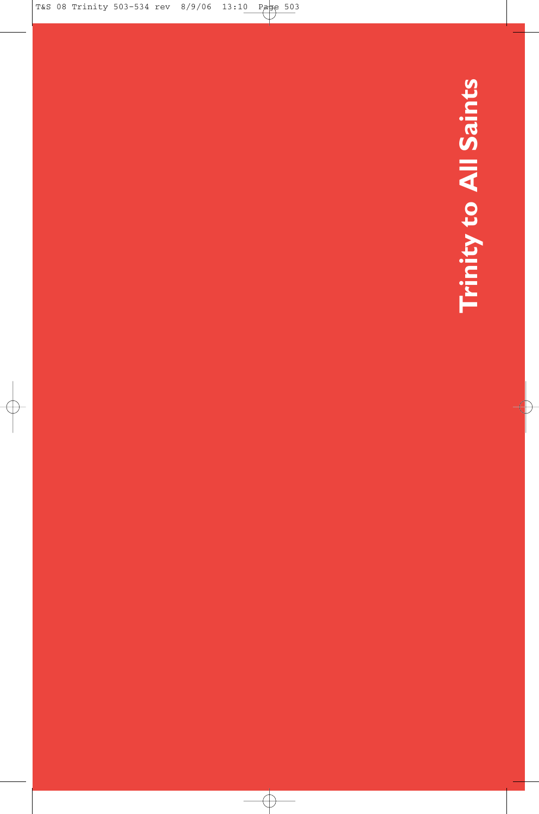Trinity to All Saints **Trinity to All Saints**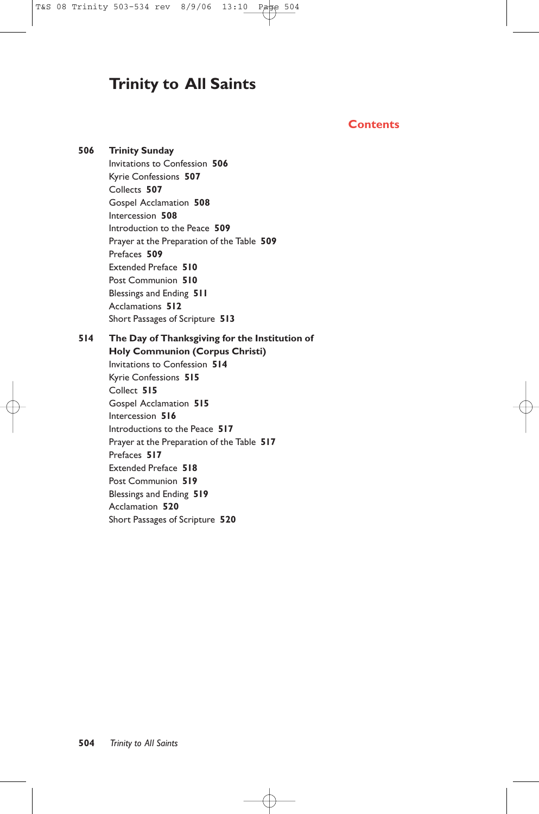### **Trinity to All Saints**

#### **Contents**

**506 Trinity Sunday** Invitations to Confession **506** Kyrie Confessions **507** Collects **507** Gospel Acclamation **508** Intercession **508** Introduction to the Peace **509** Prayer at the Preparation of the Table **509** Prefaces **509** Extended Preface **510** Post Communion **510** Blessings and Ending **511** Acclamations **512** Short Passages of Scripture **513 514 The Day of Thanksgiving for the Institution of Holy Communion (Corpus Christi)** Invitations to Confession **514** Kyrie Confessions **515** Collect **515** Gospel Acclamation **515** Intercession **516** Introductions to the Peace **517** Prayer at the Preparation of the Table **517** Prefaces **517** Extended Preface **518**

Post Communion **519** Blessings and Ending **519** Acclamation **520** Short Passages of Scripture **520**

**504** *Trinity to All Saints*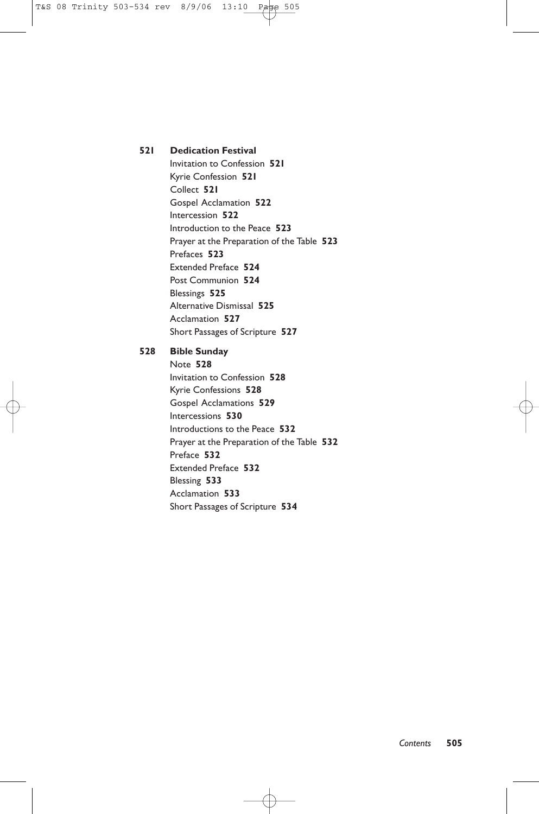#### **521 Dedication Festival**

Invitation to Confession **521** Kyrie Confession **521** Collect **521** Gospel Acclamation **522** Intercession **522** Introduction to the Peace **523** Prayer at the Preparation of the Table **523** Prefaces **523** Extended Preface **524** Post Communion **524** Blessings **525** Alternative Dismissal **525** Acclamation **527** Short Passages of Scripture **527**

#### **528 Bible Sunday**

Note **528** Invitation to Confession **528** Kyrie Confessions **528** Gospel Acclamations **529** Intercessions **530** Introductions to the Peace **532** Prayer at the Preparation of the Table **532** Preface **532** Extended Preface **532** Blessing **533** Acclamation **533** Short Passages of Scripture **534**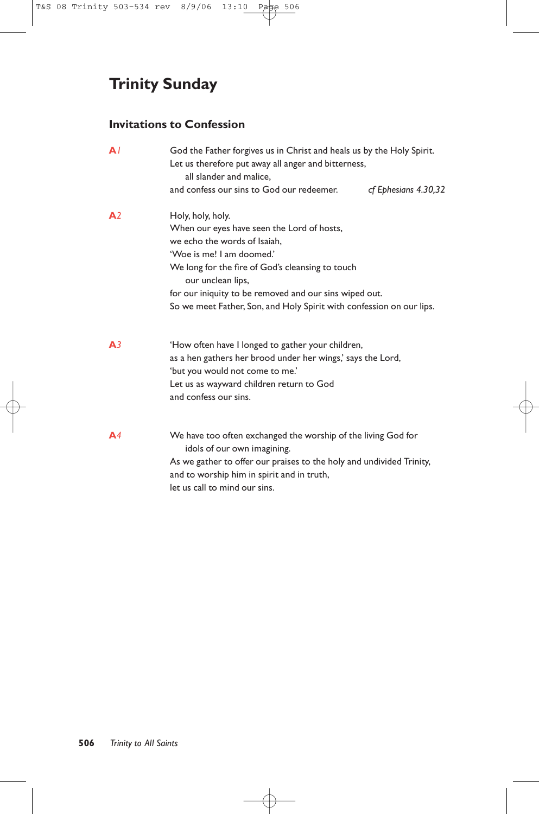### **Trinity Sunday**

### **Invitations to Confession**

| A              | God the Father forgives us in Christ and heals us by the Holy Spirit.<br>Let us therefore put away all anger and bitterness,<br>all slander and malice. |  |  |
|----------------|---------------------------------------------------------------------------------------------------------------------------------------------------------|--|--|
|                | and confess our sins to God our redeemer.<br>cf Ephesians 4.30,32                                                                                       |  |  |
| A <sup>2</sup> | Holy, holy, holy.                                                                                                                                       |  |  |
|                | When our eyes have seen the Lord of hosts,                                                                                                              |  |  |
|                | we echo the words of Isaiah.                                                                                                                            |  |  |
|                | 'Woe is me! I am doomed.'                                                                                                                               |  |  |
|                | We long for the fire of God's cleansing to touch<br>our unclean lips,                                                                                   |  |  |
|                | for our iniquity to be removed and our sins wiped out.                                                                                                  |  |  |
|                | So we meet Father, Son, and Holy Spirit with confession on our lips.                                                                                    |  |  |
| A <sub>3</sub> | 'How often have I longed to gather your children,                                                                                                       |  |  |
|                | as a hen gathers her brood under her wings,' says the Lord,                                                                                             |  |  |
|                | 'but you would not come to me.'                                                                                                                         |  |  |
|                | Let us as wayward children return to God                                                                                                                |  |  |
|                | and confess our sins.                                                                                                                                   |  |  |
| $\mathbf{A}4$  | We have too often exchanged the worship of the living God for<br>idols of our own imagining.                                                            |  |  |
|                | As we gather to offer our praises to the holy and undivided Trinity,                                                                                    |  |  |
|                | and to worship him in spirit and in truth,                                                                                                              |  |  |
|                | let us call to mind our sins.                                                                                                                           |  |  |
|                |                                                                                                                                                         |  |  |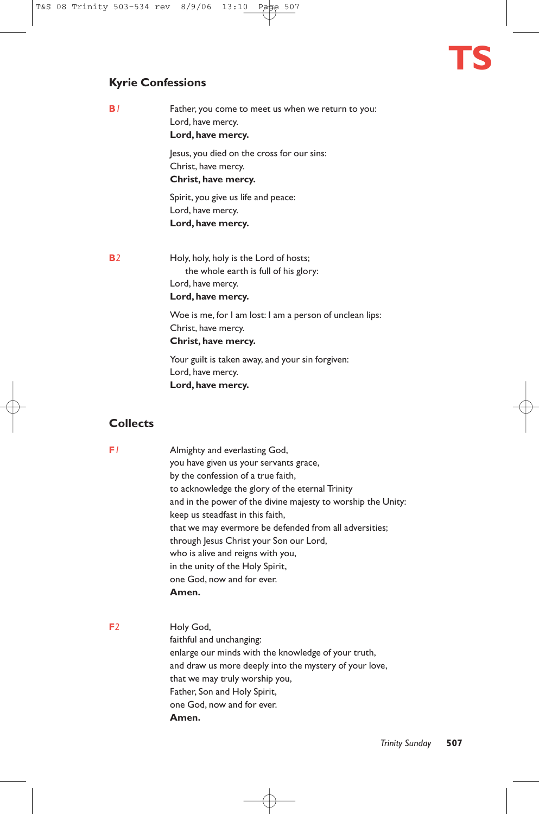## **TS**

#### **Kyrie Confessions**

| B l                   | Father, you come to meet us when we return to you:<br>Lord, have mercy.<br>Lord, have mercy.                              |
|-----------------------|---------------------------------------------------------------------------------------------------------------------------|
|                       | Jesus, you died on the cross for our sins:<br>Christ, have mercy.<br>Christ, have mercy.                                  |
|                       | Spirit, you give us life and peace:<br>Lord, have mercy.<br>Lord, have mercy.                                             |
| <b>B</b> <sub>2</sub> | Holy, holy, holy is the Lord of hosts;<br>the whole earth is full of his glory:<br>Lord, have mercy.<br>Lord, have mercy. |
|                       | Woe is me, for I am lost: I am a person of unclean lips:<br>Christ, have mercy.<br>Christ, have mercy.                    |
|                       | Your guilt is taken away, and your sin forgiven:<br>Lord, have mercy.<br>Lord, have mercy.                                |

#### **Collects**

| F I | Almighty and everlasting God,                                |
|-----|--------------------------------------------------------------|
|     | you have given us your servants grace,                       |
|     | by the confession of a true faith,                           |
|     | to acknowledge the glory of the eternal Trinity              |
|     | and in the power of the divine majesty to worship the Unity: |
|     | keep us steadfast in this faith,                             |
|     | that we may evermore be defended from all adversities;       |
|     | through Jesus Christ your Son our Lord,                      |
|     | who is alive and reigns with you,                            |
|     | in the unity of the Holy Spirit,                             |
|     | one God, now and for ever.                                   |
|     | Amen.                                                        |
|     |                                                              |

**F***2* Holy God, faithful and unchanging: enlarge our minds with the knowledge of your truth, and draw us more deeply into the mystery of your love, that we may truly worship you, Father, Son and Holy Spirit, one God, now and for ever. **Amen.**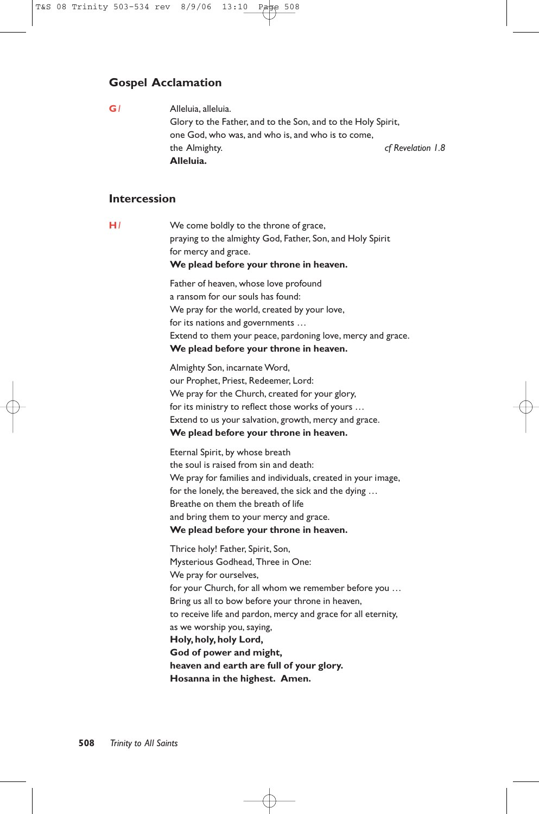#### **Gospel Acclamation**

**G***1* Alleluia, alleluia. Glory to the Father, and to the Son, and to the Holy Spirit, one God, who was, and who is, and who is to come, the Almighty. *cf Revelation 1.8* **Alleluia.**

#### **Intercession**

**H***1* We come boldly to the throne of grace, praying to the almighty God, Father, Son, and Holy Spirit for mercy and grace. **We plead before your throne in heaven.** Father of heaven, whose love profound a ransom for our souls has found: We pray for the world, created by your love,

for its nations and governments … Extend to them your peace, pardoning love, mercy and grace. **We plead before your throne in heaven.**

Almighty Son, incarnate Word, our Prophet, Priest, Redeemer, Lord: We pray for the Church, created for your glory, for its ministry to reflect those works of yours … Extend to us your salvation, growth, mercy and grace. **We plead before your throne in heaven.**

Eternal Spirit, by whose breath the soul is raised from sin and death: We pray for families and individuals, created in your image, for the lonely, the bereaved, the sick and the dying … Breathe on them the breath of life and bring them to your mercy and grace. **We plead before your throne in heaven.**

Thrice holy! Father, Spirit, Son, Mysterious Godhead, Three in One: We pray for ourselves, for your Church, for all whom we remember before you … Bring us all to bow before your throne in heaven, to receive life and pardon, mercy and grace for all eternity, as we worship you, saying, **Holy, holy, holy Lord, God of power and might, heaven and earth are full of your glory. Hosanna in the highest. Amen.**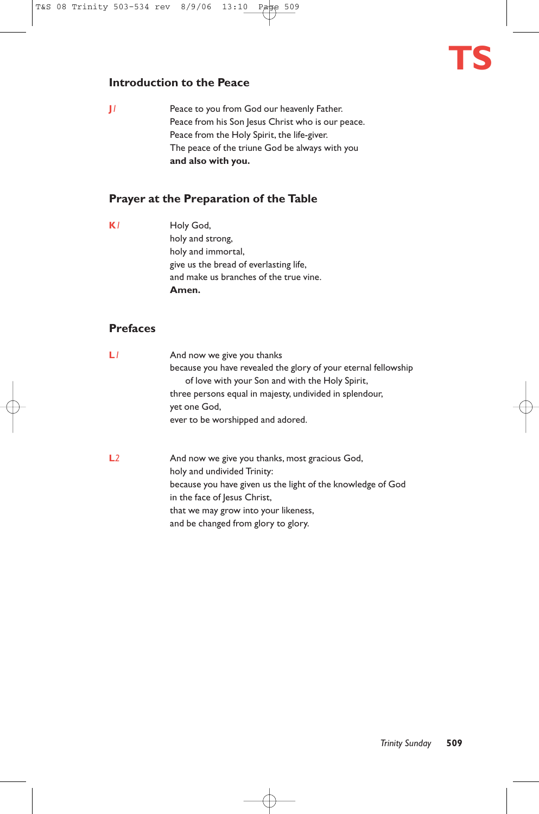## **TS**

#### **Introduction to the Peace**

**J***1* Peace to you from God our heavenly Father. Peace from his Son Jesus Christ who is our peace. Peace from the Holy Spirit, the life-giver. The peace of the triune God be always with you **and also with you.**

#### **Prayer at the Preparation of the Table**

- 
- **K***1* Holy God, holy and strong, holy and immortal, give us the bread of everlasting life, and make us branches of the true vine. **Amen.**

#### **Prefaces**

| L1             | And now we give you thanks<br>because you have revealed the glory of your eternal fellowship<br>of love with your Son and with the Holy Spirit,<br>three persons equal in majesty, undivided in splendour,<br>yet one God,<br>ever to be worshipped and adored. |
|----------------|-----------------------------------------------------------------------------------------------------------------------------------------------------------------------------------------------------------------------------------------------------------------|
| L <sub>2</sub> | And now we give you thanks, most gracious God,<br>holy and undivided Trinity:<br>because you have given us the light of the knowledge of God<br>in the face of Jesus Christ,<br>that we may grow into your likeness,                                            |

and be changed from glory to glory.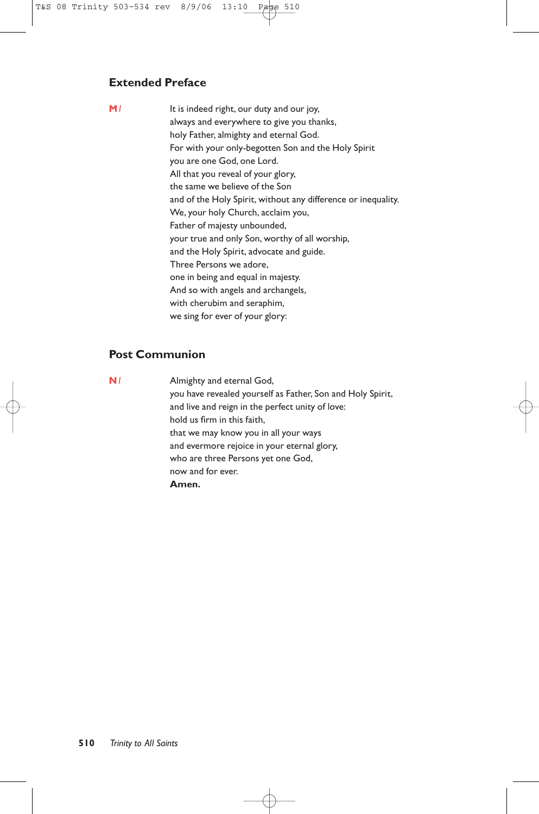#### **Extended Preface**

**M***1* It is indeed right, our duty and our joy, always and everywhere to give you thanks, holy Father, almighty and eternal God. For with your only-begotten Son and the Holy Spirit you are one God, one Lord. All that you reveal of your glory, the same we believe of the Son and of the Holy Spirit, without any difference or inequality. We, your holy Church, acclaim you, Father of majesty unbounded, your true and only Son, worthy of all worship, and the Holy Spirit, advocate and guide. Three Persons we adore, one in being and equal in majesty. And so with angels and archangels, with cherubim and seraphim, we sing for ever of your glory:

#### **Post Communion**

**N***1* Almighty and eternal God, you have revealed yourself as Father, Son and Holy Spirit, and live and reign in the perfect unity of love: hold us firm in this faith, that we may know you in all your ways and evermore rejoice in your eternal glory, who are three Persons yet one God, now and for ever. **Amen.**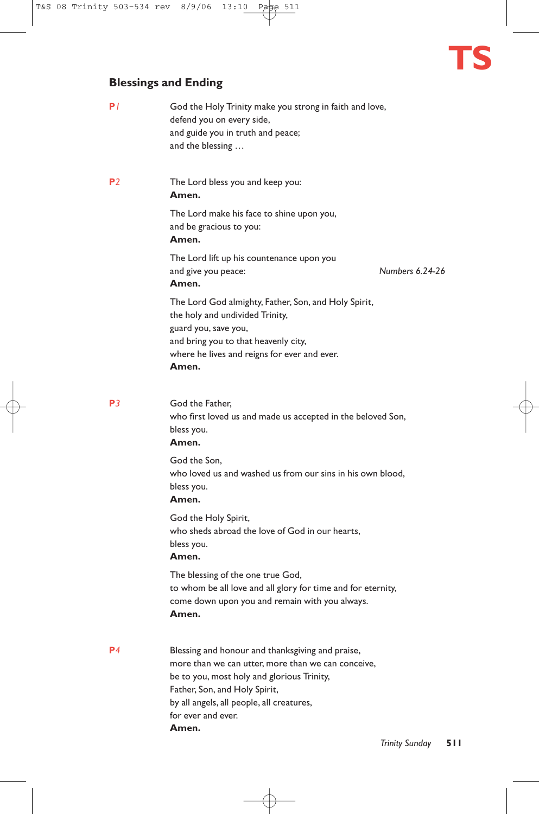### **TS**

### **Blessings and Ending**

| P/             | God the Holy Trinity make you strong in faith and love,<br>defend you on every side,<br>and guide you in truth and peace;<br>and the blessing                                                                                                            |  |
|----------------|----------------------------------------------------------------------------------------------------------------------------------------------------------------------------------------------------------------------------------------------------------|--|
| P <sub>2</sub> | The Lord bless you and keep you:<br>Amen.                                                                                                                                                                                                                |  |
|                | The Lord make his face to shine upon you,<br>and be gracious to you:<br>Amen.                                                                                                                                                                            |  |
|                | The Lord lift up his countenance upon you<br><b>Numbers 6.24-26</b><br>and give you peace:<br>Amen.                                                                                                                                                      |  |
|                | The Lord God almighty, Father, Son, and Holy Spirit,<br>the holy and undivided Trinity,<br>guard you, save you,<br>and bring you to that heavenly city,<br>where he lives and reigns for ever and ever.<br>Amen.                                         |  |
| P3             | God the Father.<br>who first loved us and made us accepted in the beloved Son,<br>bless you.<br>Amen.                                                                                                                                                    |  |
|                | God the Son.<br>who loved us and washed us from our sins in his own blood,<br>bless you.<br>Amen.                                                                                                                                                        |  |
|                | God the Holy Spirit,<br>who sheds abroad the love of God in our hearts,<br>bless you.<br>Amen.                                                                                                                                                           |  |
|                | The blessing of the one true God,<br>to whom be all love and all glory for time and for eternity,<br>come down upon you and remain with you always.<br>Amen.                                                                                             |  |
| P4             | Blessing and honour and thanksgiving and praise,<br>more than we can utter, more than we can conceive,<br>be to you, most holy and glorious Trinity,<br>Father, Son, and Holy Spirit,<br>by all angels, all people, all creatures,<br>for ever and ever. |  |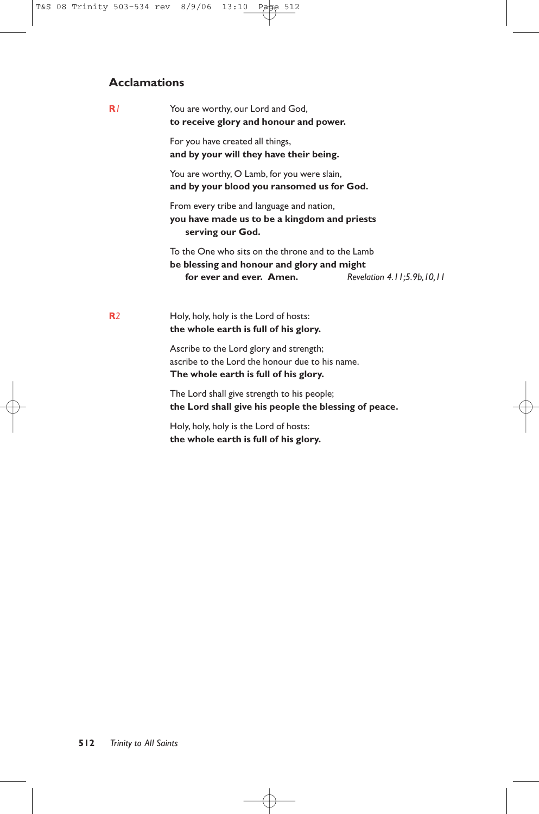#### **Acclamations**

**R***1* You are worthy, our Lord and God, **to receive glory and honour and power.** For you have created all things, **and by your will they have their being.** You are worthy, O Lamb, for you were slain, **and by your blood you ransomed us for God.** From every tribe and language and nation, **you have made us to be a kingdom and priests serving our God.** To the One who sits on the throne and to the Lamb **be blessing and honour and glory and might for ever and ever. Amen.** *Revelation 4.11;5.9b,10,11* **R***2* Holy, holy, holy is the Lord of hosts: **the whole earth is full of his glory.** Ascribe to the Lord glory and strength; ascribe to the Lord the honour due to his name. **The whole earth is full of his glory.** The Lord shall give strength to his people; **the Lord shall give his people the blessing of peace.**

> Holy, holy, holy is the Lord of hosts: **the whole earth is full of his glory.**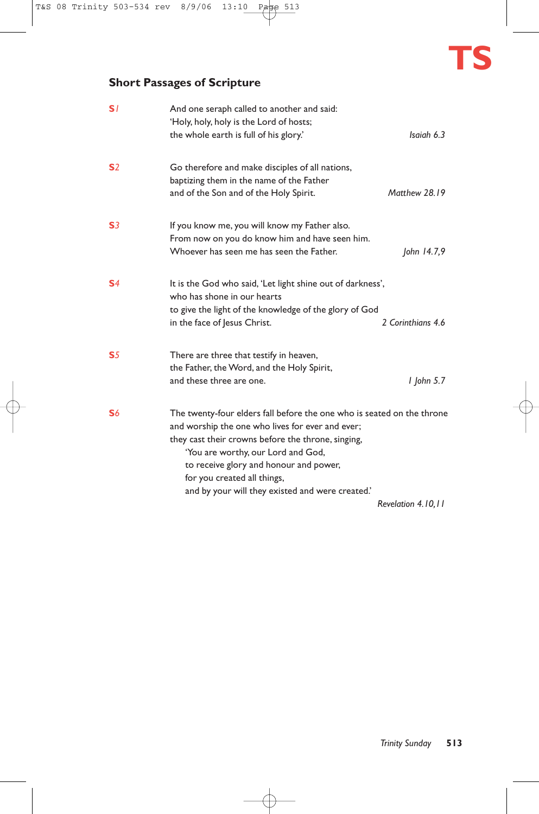

### **Short Passages of Scripture**

| S <sub>1</sub> | And one seraph called to another and said:<br>'Holy, holy, holy is the Lord of hosts;<br>the whole earth is full of his glory.'                                                                                                                                                                                                                     | Isaiah 6.3         |
|----------------|-----------------------------------------------------------------------------------------------------------------------------------------------------------------------------------------------------------------------------------------------------------------------------------------------------------------------------------------------------|--------------------|
| S <sub>2</sub> | Go therefore and make disciples of all nations,<br>baptizing them in the name of the Father<br>and of the Son and of the Holy Spirit.                                                                                                                                                                                                               | Matthew 28.19      |
| S <sub>3</sub> | If you know me, you will know my Father also.<br>From now on you do know him and have seen him.<br>Whoever has seen me has seen the Father.                                                                                                                                                                                                         | John 14.7,9        |
| S <sub>4</sub> | It is the God who said, 'Let light shine out of darkness',<br>who has shone in our hearts<br>to give the light of the knowledge of the glory of God<br>in the face of Jesus Christ.                                                                                                                                                                 | 2 Corinthians 4.6  |
| S <sub>5</sub> | There are three that testify in heaven,<br>the Father, the Word, and the Holy Spirit,<br>and these three are one.                                                                                                                                                                                                                                   | I John 5.7         |
| S <sub>6</sub> | The twenty-four elders fall before the one who is seated on the throne<br>and worship the one who lives for ever and ever;<br>they cast their crowns before the throne, singing,<br>'You are worthy, our Lord and God,<br>to receive glory and honour and power,<br>for you created all things,<br>and by your will they existed and were created.' |                    |
|                |                                                                                                                                                                                                                                                                                                                                                     | Revelation 4.10,11 |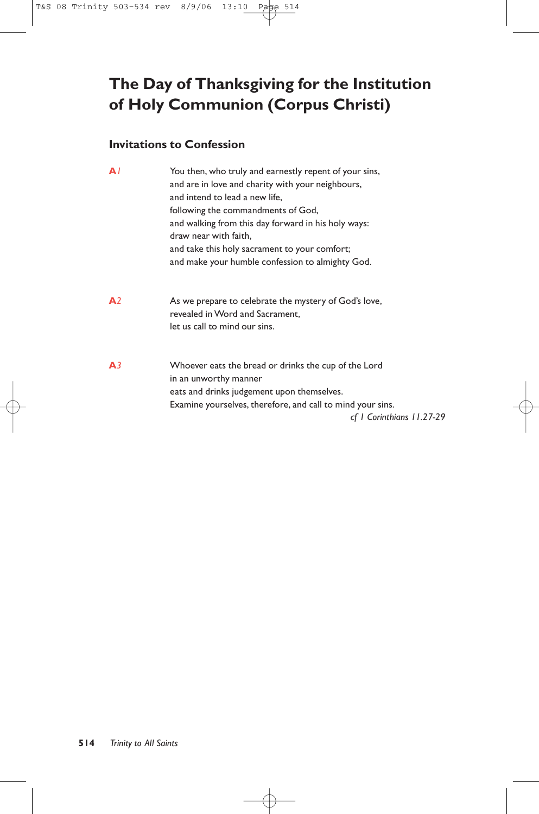### **The Day of Thanksgiving for the Institution of Holy Communion (Corpus Christi)**

#### **Invitations to Confession**

| ΔI             | You then, who truly and earnestly repent of your sins,<br>and are in love and charity with your neighbours,<br>and intend to lead a new life,<br>following the commandments of God,<br>and walking from this day forward in his holy ways:<br>draw near with faith.<br>and take this holy sacrament to your comfort;<br>and make your humble confession to almighty God. |
|----------------|--------------------------------------------------------------------------------------------------------------------------------------------------------------------------------------------------------------------------------------------------------------------------------------------------------------------------------------------------------------------------|
| A <sub>2</sub> | As we prepare to celebrate the mystery of God's love,<br>revealed in Word and Sacrament,<br>let us call to mind our sins.                                                                                                                                                                                                                                                |
| A <sub>3</sub> | Whoever eats the bread or drinks the cup of the Lord<br>in an unworthy manner<br>eats and drinks judgement upon themselves.<br>Examine yourselves, therefore, and call to mind your sins.<br>cf I Corinthians 11.27-29                                                                                                                                                   |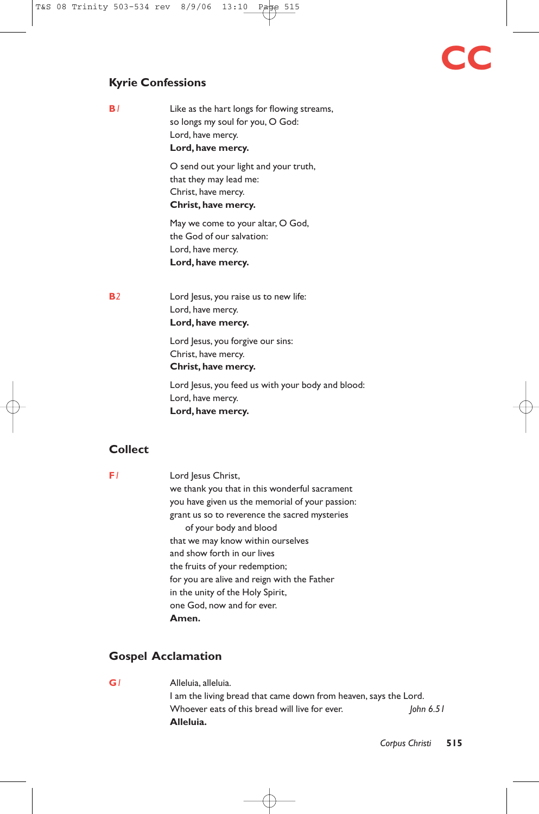# **CC**

#### **Kyrie Confessions**

**B**<sup>1</sup> Like as the hart longs for flowing streams, so longs my soul for you, O God: Lord, have mercy. **Lord, have mercy.** O send out your light and your truth, that they may lead me: Christ, have mercy. **Christ, have mercy.** May we come to your altar, O God, the God of our salvation: Lord, have mercy. **Lord, have mercy. B**<sup>2</sup> Lord Jesus, you raise us to new life: Lord, have mercy. **Lord, have mercy.** Lord Jesus, you forgive our sins: Christ, have mercy. **Christ, have mercy.** Lord Jesus, you feed us with your body and blood: Lord, have mercy. **Lord, have mercy. Collect F***1* Lord Jesus Christ, we thank you that in this wonderful sacrament you have given us the memorial of your passion: grant us so to reverence the sacred mysteries of your body and blood that we may know within ourselves and show forth in our lives the fruits of your redemption;

for you are alive and reign with the Father in the unity of the Holy Spirit, one God, now and for ever.

**Amen.**

#### **Gospel Acclamation**

**G***1* Alleluia, alleluia. I am the living bread that came down from heaven, says the Lord. Whoever eats of this bread will live for ever. *John 6.51* **Alleluia.**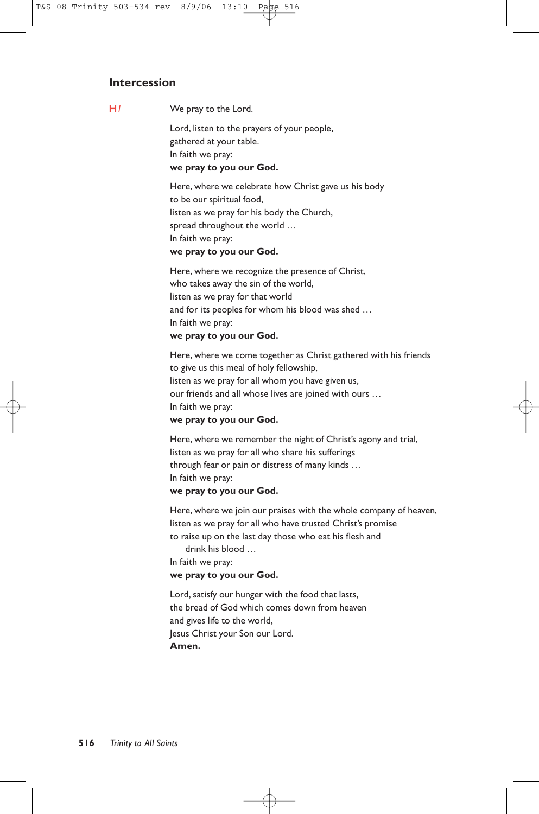#### **Intercession**

**H***1* We pray to the Lord.

Lord, listen to the prayers of your people, gathered at your table. In faith we pray: **we pray to you our God.**

Here, where we celebrate how Christ gave us his body to be our spiritual food, listen as we pray for his body the Church, spread throughout the world … In faith we pray: **we pray to you our God.**

Here, where we recognize the presence of Christ, who takes away the sin of the world, listen as we pray for that world and for its peoples for whom his blood was shed … In faith we pray: **we pray to you our God.**

Here, where we come together as Christ gathered with his friends to give us this meal of holy fellowship, listen as we pray for all whom you have given us, our friends and all whose lives are joined with ours … In faith we pray:

#### **we pray to you our God.**

Here, where we remember the night of Christ's agony and trial, listen as we pray for all who share his sufferings through fear or pain or distress of many kinds … In faith we pray:

#### **we pray to you our God.**

Here, where we join our praises with the whole company of heaven, listen as we pray for all who have trusted Christ's promise to raise up on the last day those who eat his flesh and

drink his blood … In faith we pray:

#### **we pray to you our God.**

Lord, satisfy our hunger with the food that lasts, the bread of God which comes down from heaven and gives life to the world, Jesus Christ your Son our Lord. **Amen.**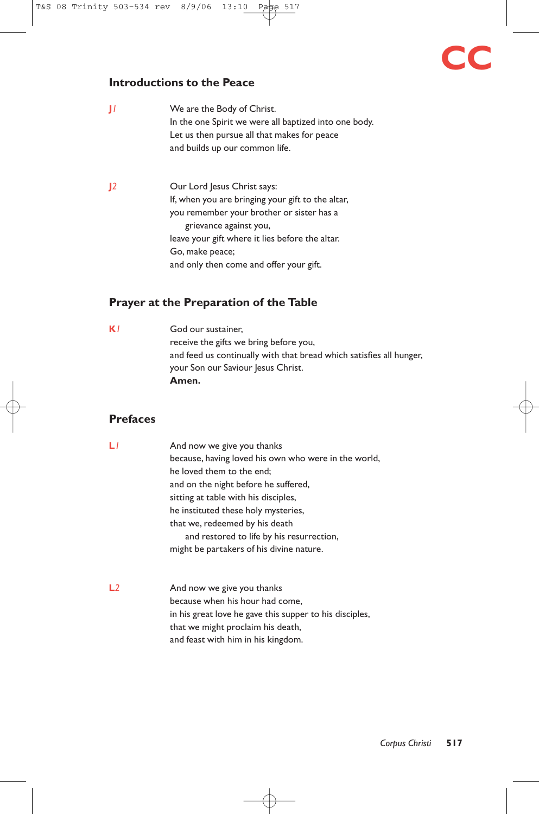# **CC**

#### **Introductions to the Peace**

| -17            | We are the Body of Christ.<br>In the one Spirit we were all baptized into one body.<br>Let us then pursue all that makes for peace<br>and builds up our common life.                                                                                                     |
|----------------|--------------------------------------------------------------------------------------------------------------------------------------------------------------------------------------------------------------------------------------------------------------------------|
| $\mathbf{I}^2$ | Our Lord Jesus Christ says:<br>If, when you are bringing your gift to the altar,<br>you remember your brother or sister has a<br>grievance against you,<br>leave your gift where it lies before the altar.<br>Go, make peace;<br>and only then come and offer your gift. |

#### **Prayer at the Preparation of the Table**

**K***1* God our sustainer, receive the gifts we bring before you, and feed us continually with that bread which satisfies all hunger, your Son our Saviour Jesus Christ. **Amen.**

#### **Prefaces**

- **L***l* And now we give you thanks because, having loved his own who were in the world, he loved them to the end; and on the night before he suffered, sitting at table with his disciples, he instituted these holy mysteries, that we, redeemed by his death and restored to life by his resurrection, might be partakers of his divine nature.
- **L**2 And now we give you thanks because when his hour had come, in his great love he gave this supper to his disciples, that we might proclaim his death, and feast with him in his kingdom.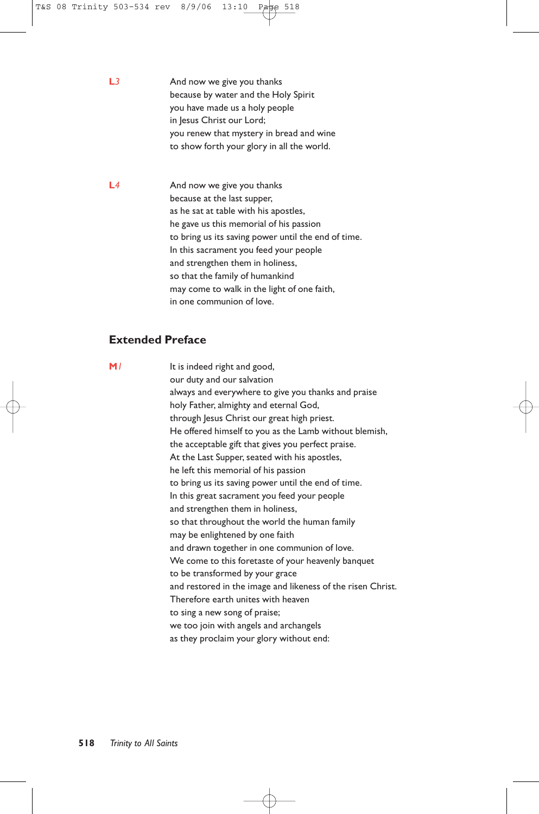- **L**<sup>3</sup> And now we give you thanks because by water and the Holy Spirit you have made us a holy people in Jesus Christ our Lord; you renew that mystery in bread and wine to show forth your glory in all the world.
- **L4** And now we give you thanks because at the last supper, as he sat at table with his apostles, he gave us this memorial of his passion to bring us its saving power until the end of time. In this sacrament you feed your people and strengthen them in holiness, so that the family of humankind may come to walk in the light of one faith, in one communion of love.

#### **Extended Preface**

**M**/**1** It is indeed right and good, our duty and our salvation always and everywhere to give you thanks and praise holy Father, almighty and eternal God, through Jesus Christ our great high priest. He offered himself to you as the Lamb without blemish, the acceptable gift that gives you perfect praise. At the Last Supper, seated with his apostles, he left this memorial of his passion to bring us its saving power until the end of time. In this great sacrament you feed your people and strengthen them in holiness, so that throughout the world the human family may be enlightened by one faith and drawn together in one communion of love. We come to this foretaste of your heavenly banquet to be transformed by your grace and restored in the image and likeness of the risen Christ. Therefore earth unites with heaven to sing a new song of praise; we too join with angels and archangels as they proclaim your glory without end: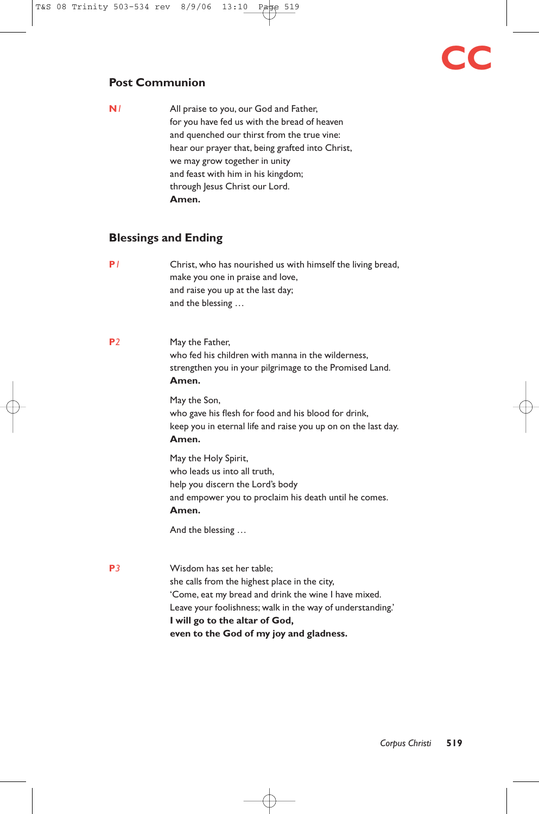# **CC**

#### **Post Communion**

**N***1* All praise to you, our God and Father, for you have fed us with the bread of heaven and quenched our thirst from the true vine: hear our prayer that, being grafted into Christ, we may grow together in unity and feast with him in his kingdom; through Jesus Christ our Lord. **Amen.**

#### **Blessings and Ending**

**P***1* Christ, who has nourished us with himself the living bread, make you one in praise and love, and raise you up at the last day; and the blessing …

**P***2* May the Father, who fed his children with manna in the wilderness, strengthen you in your pilgrimage to the Promised Land. **Amen.**

> May the Son, who gave his flesh for food and his blood for drink, keep you in eternal life and raise you up on on the last day. **Amen.**

May the Holy Spirit, who leads us into all truth, help you discern the Lord's body and empower you to proclaim his death until he comes. **Amen.**

And the blessing …

**P***3* Wisdom has set her table; she calls from the highest place in the city, 'Come, eat my bread and drink the wine I have mixed. Leave your foolishness; walk in the way of understanding.' **I will go to the altar of God, even to the God of my joy and gladness.**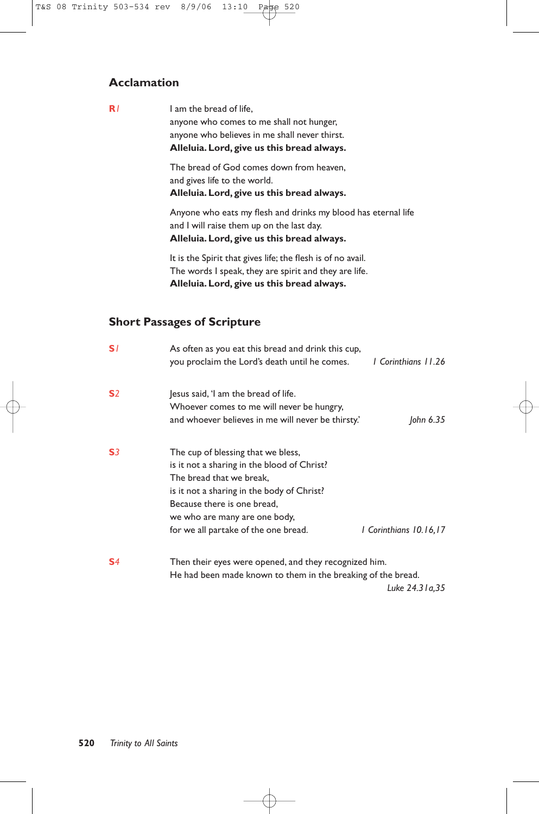#### **Acclamation**

| R۱ | I am the bread of life,                                                                                              |
|----|----------------------------------------------------------------------------------------------------------------------|
|    | anyone who comes to me shall not hunger,                                                                             |
|    | anyone who believes in me shall never thirst.                                                                        |
|    | Alleluia. Lord, give us this bread always.                                                                           |
|    | The bread of God comes down from heaven,                                                                             |
|    | and gives life to the world.                                                                                         |
|    | Alleluia. Lord, give us this bread always.                                                                           |
|    | Anyone who eats my flesh and drinks my blood has eternal life<br>and I will raise them up on the last day.           |
|    | Alleluia. Lord, give us this bread always.                                                                           |
|    | It is the Spirit that gives life; the flesh is of no avail.<br>The words I speak, they are spirit and they are life. |

**Alleluia.Lord, give us this bread always.**

#### **Short Passages of Scripture**

| S1             | As often as you eat this bread and drink this cup,<br>you proclaim the Lord's death until he comes.                                                                                                                                                                 | I Corinthians 11.26    |
|----------------|---------------------------------------------------------------------------------------------------------------------------------------------------------------------------------------------------------------------------------------------------------------------|------------------------|
| S <sub>2</sub> | Jesus said, 'I am the bread of life.<br>Whoever comes to me will never be hungry,<br>and whoever believes in me will never be thirsty.'                                                                                                                             | John 6.35              |
| S <sub>3</sub> | The cup of blessing that we bless,<br>is it not a sharing in the blood of Christ?<br>The bread that we break.<br>is it not a sharing in the body of Christ?<br>Because there is one bread.<br>we who are many are one body,<br>for we all partake of the one bread. | I Corinthians 10.16,17 |
| S <sub>4</sub> | Then their eyes were opened, and they recognized him.<br>He had been made known to them in the breaking of the bread.<br>Luke 24.3   a,35                                                                                                                           |                        |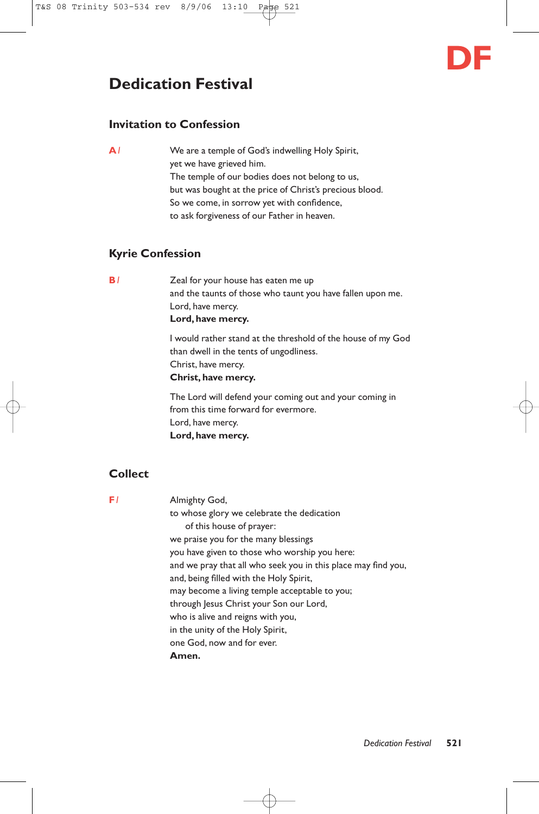### **Dedication Festival**

#### **Invitation to Confession**

**A***1* We are a temple of God's indwelling Holy Spirit, yet we have grieved him. The temple of our bodies does not belong to us, but was bought at the price of Christ's precious blood. So we come, in sorrow yet with confidence, to ask forgiveness of our Father in heaven.

#### **Kyrie Confession**

**B***1* Zeal for your house has eaten me up and the taunts of those who taunt you have fallen upon me. Lord, have mercy. **Lord, have mercy.**

> I would rather stand at the threshold of the house of my God than dwell in the tents of ungodliness. Christ, have mercy. **Christ, have mercy.**

The Lord will defend your coming out and your coming in from this time forward for evermore. Lord, have mercy. **Lord, have mercy.**

#### **Collect**

**F***1* Almighty God, to whose glory we celebrate the dedication of this house of prayer: we praise you for the many blessings you have given to those who worship you here: and we pray that all who seek you in this place may find you, and, being filled with the Holy Spirit, may become a living temple acceptable to you; through Jesus Christ your Son our Lord, who is alive and reigns with you, in the unity of the Holy Spirit, one God, now and for ever. **Amen.**

**DF**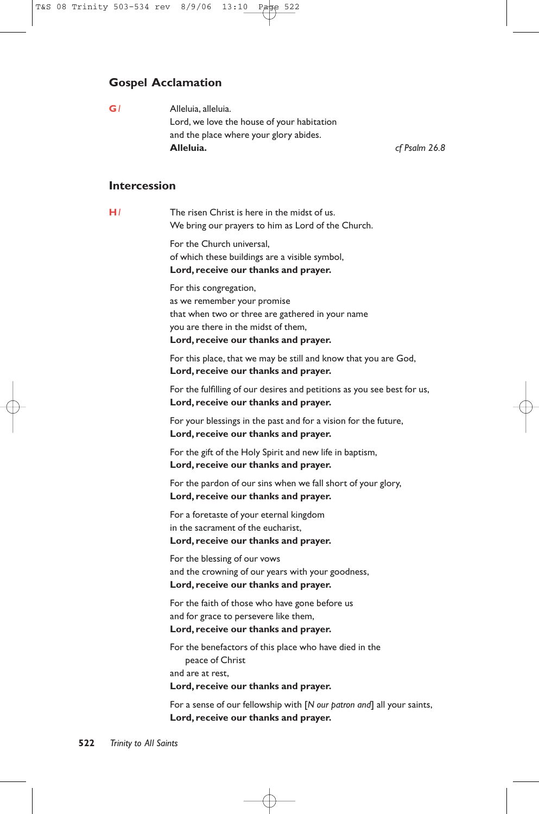#### **Gospel Acclamation**

**G***1* Alleluia, alleluia. Lord, we love the house of your habitation and the place where your glory abides. **Alleluia.** *cf Psalm 26.8*

#### **Intercession**

**H***1* The risen Christ is here in the midst of us. We bring our prayers to him as Lord of the Church. For the Church universal, of which these buildings are a visible symbol, **Lord, receive our thanks and prayer.** For this congregation, as we remember your promise that when two or three are gathered in your name you are there in the midst of them, **Lord, receive our thanks and prayer.** For this place, that we may be still and know that you are God, **Lord, receive our thanks and prayer.** For the fulfilling of our desires and petitions as you see best for us, **Lord, receive our thanks and prayer.** For your blessings in the past and for a vision for the future, **Lord, receive our thanks and prayer.** For the gift of the Holy Spirit and new life in baptism, **Lord, receive our thanks and prayer.** For the pardon of our sins when we fall short of your glory, **Lord, receive our thanks and prayer.** For a foretaste of your eternal kingdom in the sacrament of the eucharist, **Lord, receive our thanks and prayer.** For the blessing of our vows and the crowning of our years with your goodness, **Lord, receive our thanks and prayer.** For the faith of those who have gone before us and for grace to persevere like them, **Lord, receive our thanks and prayer.** For the benefactors of this place who have died in the peace of Christ and are at rest, **Lord, receive our thanks and prayer.** For a sense of our fellowship with [*N our patron and*] all your saints,

**Lord, receive our thanks and prayer.**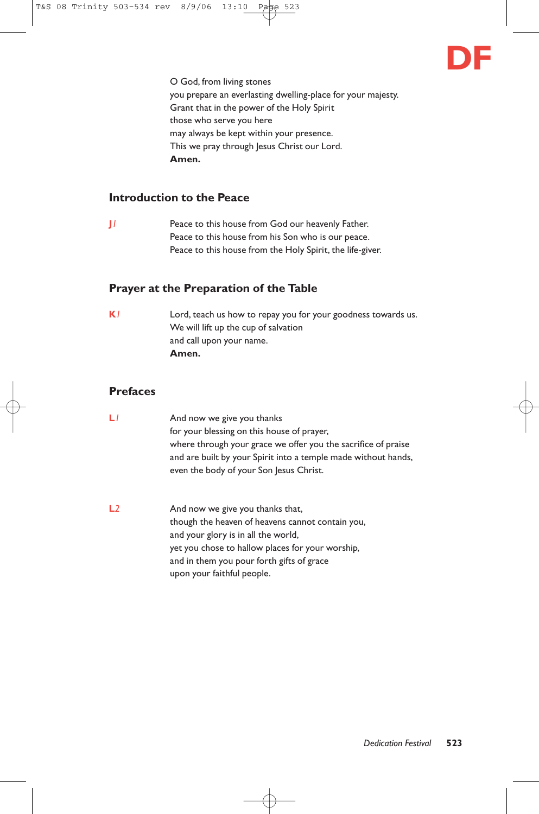

O God, from living stones you prepare an everlasting dwelling-place for your majesty. Grant that in the power of the Holy Spirit those who serve you here may always be kept within your presence. This we pray through Jesus Christ our Lord. **Amen.**

#### **Introduction to the Peace**

**J***1* Peace to this house from God our heavenly Father. Peace to this house from his Son who is our peace. Peace to this house from the Holy Spirit, the life-giver.

#### **Prayer at the Preparation of the Table**

**K***1* Lord, teach us how to repay you for your goodness towards us. We will lift up the cup of salvation and call upon your name. **Amen.**

#### **Prefaces**

**L***l* And now we give you thanks for your blessing on this house of prayer, where through your grace we offer you the sacrifice of praise and are built by your Spirit into a temple made without hands, even the body of your Son Jesus Christ.

**L***2* And now we give you thanks that, though the heaven of heavens cannot contain you, and your glory is in all the world, yet you chose to hallow places for your worship, and in them you pour forth gifts of grace upon your faithful people.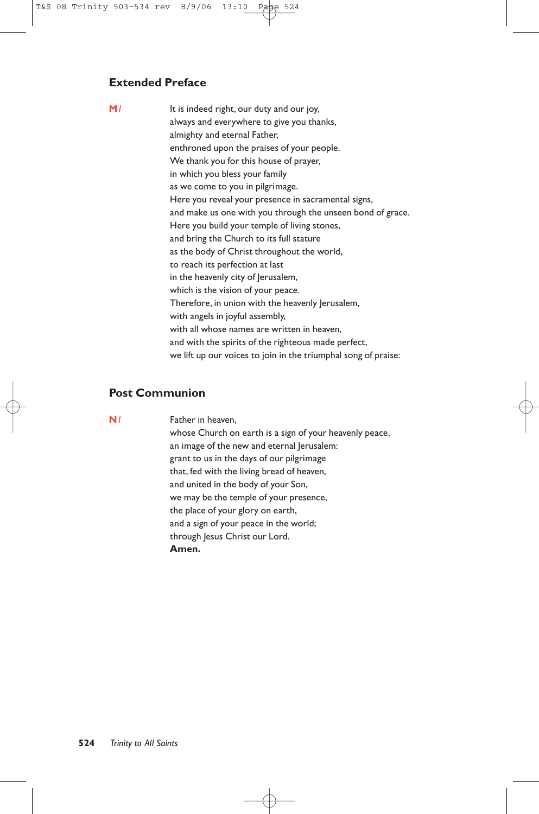#### **Extended Preface**

**M***1* It is indeed right, our duty and our joy, always and everywhere to give you thanks, almighty and eternal Father, enthroned upon the praises of your people. We thank you for this house of prayer, in which you bless your family as we come to you in pilgrimage. Here you reveal your presence in sacramental signs, and make us one with you through the unseen bond of grace. Here you build your temple of living stones, and bring the Church to its full stature as the body of Christ throughout the world, to reach its perfection at last in the heavenly city of Jerusalem, which is the vision of your peace. Therefore, in union with the heavenly Jerusalem, with angels in joyful assembly, with all whose names are written in heaven, and with the spirits of the righteous made perfect, we lift up our voices to join in the triumphal song of praise:

#### **Post Communion**

**N***1* Father in heaven,

whose Church on earth is a sign of your heavenly peace, an image of the new and eternal Jerusalem: grant to us in the days of our pilgrimage that, fed with the living bread of heaven, and united in the body of your Son, we may be the temple of your presence, the place of your glory on earth, and a sign of your peace in the world; through Jesus Christ our Lord. **Amen.**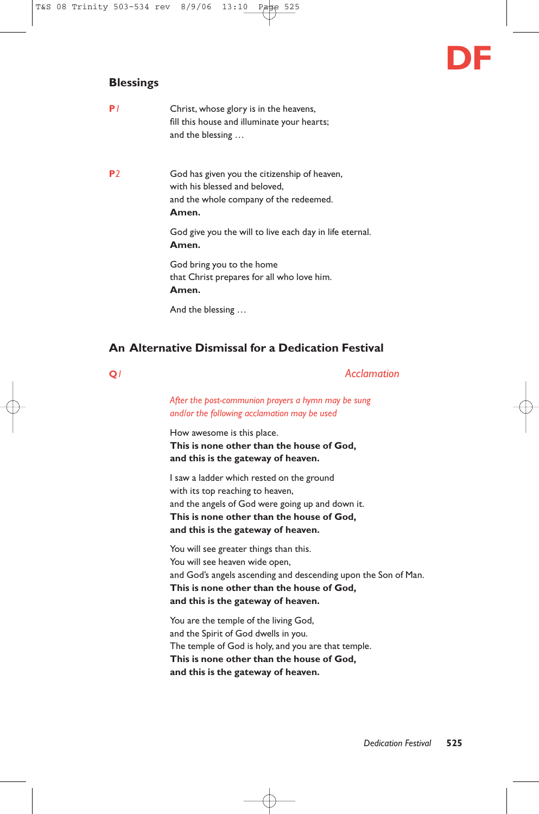## **DF**

#### **Blessings**

| P I | Christ, whose glory is in the heavens,<br>fill this house and illuminate your hearts;<br>and the blessing                        |
|-----|----------------------------------------------------------------------------------------------------------------------------------|
| P2  | God has given you the citizenship of heaven,<br>with his blessed and beloved.<br>and the whole company of the redeemed.<br>Amen. |
|     | God give you the will to live each day in life eternal.<br>Amen.                                                                 |
|     | God bring you to the home<br>that Christ prepares for all who love him.<br>Amen.                                                 |
|     | And the blessing                                                                                                                 |
|     |                                                                                                                                  |

#### **An Alternative Dismissal for a Dedication Festival**

#### **Q***1 Acclamation*

*After the post-communion prayers a hymn may be sung and/or the following acclamation may be used*

How awesome is this place. **This is none other than the house of God, and this is the gateway of heaven.**

I saw a ladder which rested on the ground with its top reaching to heaven, and the angels of God were going up and down it. **This is none other than the house of God, and this is the gateway of heaven.**

You will see greater things than this. You will see heaven wide open, and God's angels ascending and descending upon the Son of Man. **This is none other than the house of God, and this is the gateway of heaven.**

You are the temple of the living God, and the Spirit of God dwells in you. The temple of God is holy, and you are that temple. **This is none other than the house of God, and this is the gateway of heaven.**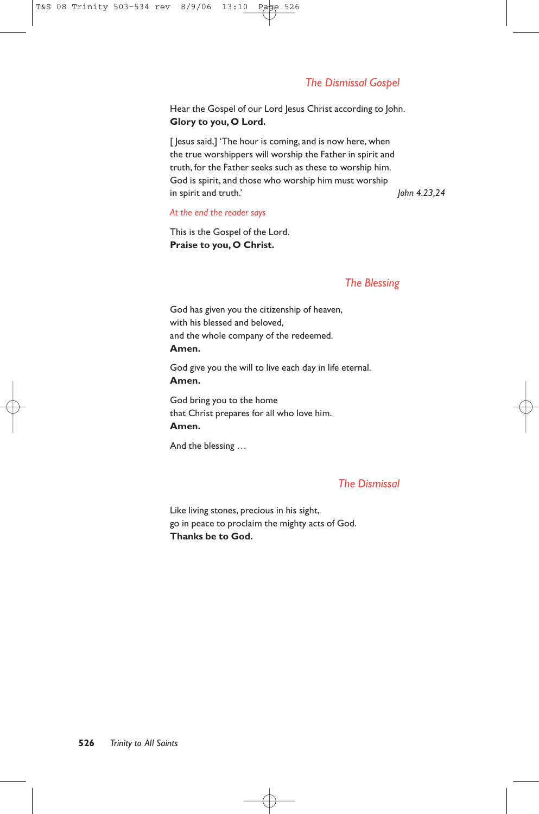#### *The Dismissal Gospel*

Hear the Gospel of our Lord Jesus Christ according to John. **Glory to you, O Lord.**

[Jesus said,] 'The hour is coming, and is now here, when the true worshippers will worship the Father in spirit and truth, for the Father seeks such as these to worship him. God is spirit, and those who worship him must worship in spirit and truth.' *John 4.23,24*

#### *At the end the reader says*

This is the Gospel of the Lord. **Praise to you, O Christ.**

#### *The Blessing*

God has given you the citizenship of heaven, with his blessed and beloved, and the whole company of the redeemed. **Amen.**

God give you the will to live each day in life eternal. **Amen.**

God bring you to the home that Christ prepares for all who love him. **Amen.**

And the blessing …

#### *The Dismissal*

Like living stones, precious in his sight, go in peace to proclaim the mighty acts of God. **Thanks be to God.**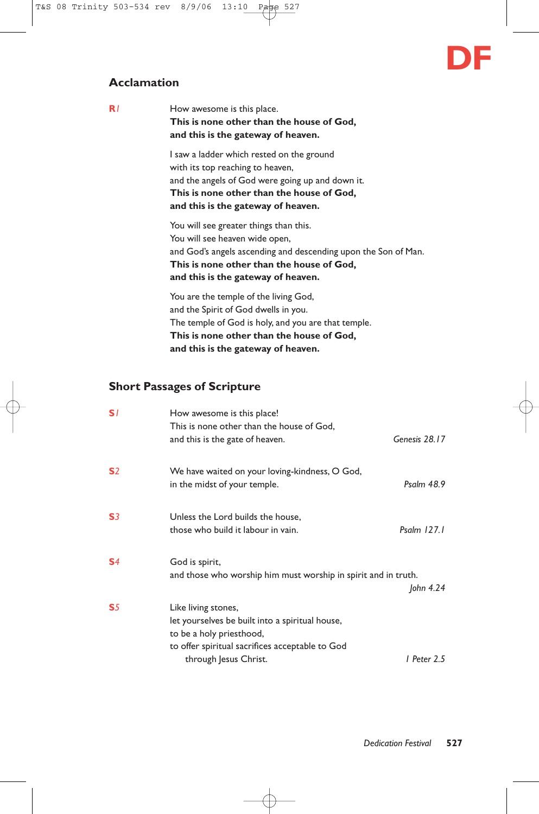## **DF**

#### **Acclamation**

**R**<sup>1</sup> How awesome is this place. **This is none other than the house of God, and this is the gateway of heaven.** I saw a ladder which rested on the ground with its top reaching to heaven, and the angels of God were going up and down it. **This is none other than the house of God, and this is the gateway of heaven.** You will see greater things than this. You will see heaven wide open, and God's angels ascending and descending upon the Son of Man. **This is none other than the house of God, and this is the gateway of heaven.**

> You are the temple of the living God, and the Spirit of God dwells in you. The temple of God is holy, and you are that temple. **This is none other than the house of God, and this is the gateway of heaven.**

#### **Short Passages of Scripture**

| S/             | How awesome is this place!<br>This is none other than the house of God,                                                                               |               |
|----------------|-------------------------------------------------------------------------------------------------------------------------------------------------------|---------------|
|                | and this is the gate of heaven.                                                                                                                       | Genesis 28.17 |
| S <sub>2</sub> | We have waited on your loving-kindness, O God,<br>in the midst of your temple.                                                                        | Psalm 48.9    |
| S <sub>3</sub> | Unless the Lord builds the house,<br>those who build it labour in vain.                                                                               | Psalm $127.1$ |
| S <sub>4</sub> | God is spirit,<br>and those who worship him must worship in spirit and in truth.<br>John 4.24                                                         |               |
| S <sub>5</sub> | Like living stones,<br>let yourselves be built into a spiritual house,<br>to be a holy priesthood,<br>to offer spiritual sacrifices acceptable to God |               |
|                | through Jesus Christ.                                                                                                                                 | 1 Peter 2.5   |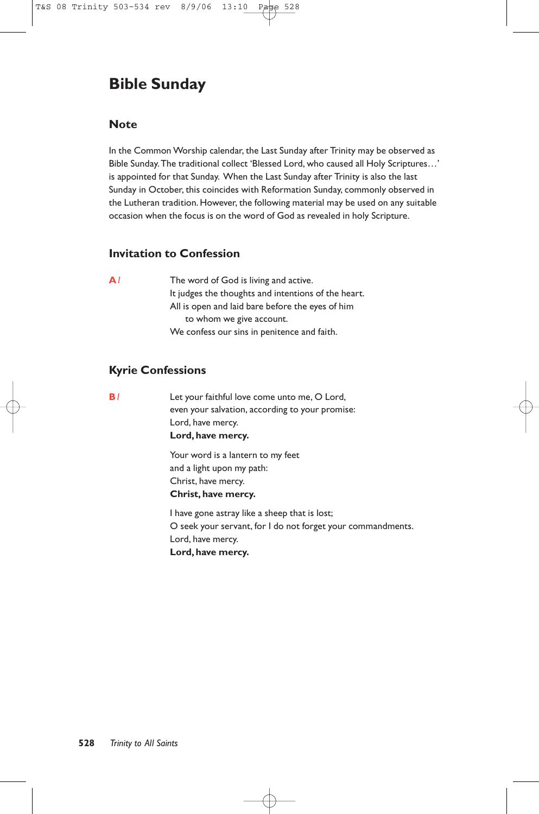### **Bible Sunday**

#### **Note**

In the Common Worship calendar, the Last Sunday after Trinity may be observed as Bible Sunday.The traditional collect 'Blessed Lord, who caused all Holy Scriptures…' is appointed for that Sunday. When the Last Sunday after Trinity is also the last Sunday in October, this coincides with Reformation Sunday, commonly observed in the Lutheran tradition. However, the following material may be used on any suitable occasion when the focus is on the word of God as revealed in holy Scripture.

#### **Invitation to Confession**

**A***1* The word of God is living and active. It judges the thoughts and intentions of the heart. All is open and laid bare before the eyes of him to whom we give account. We confess our sins in penitence and faith.

#### **Kyrie Confessions**

**B**<sup>1</sup> Let your faithful love come unto me, O Lord, even your salvation, according to your promise: Lord, have mercy. **Lord, have mercy.**

> Your word is a lantern to my feet and a light upon my path: Christ, have mercy. **Christ, have mercy.**

I have gone astray like a sheep that is lost; O seek your servant, for I do not forget your commandments. Lord, have mercy. **Lord, have mercy.**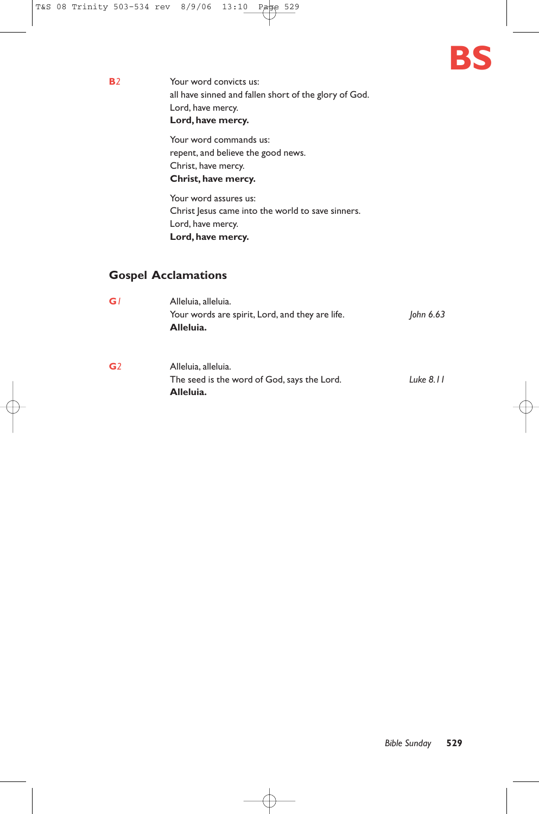

**B***2* Your word convicts us: all have sinned and fallen short of the glory of God. Lord, have mercy. **Lord, have mercy.**

> Your word commands us: repent, and believe the good news. Christ, have mercy. **Christ, have mercy.**

Your word assures us: Christ Jesus came into the world to save sinners. Lord, have mercy. **Lord, have mercy.**

#### **Gospel Acclamations**

| GI             | Alleluia, alleluia.                             |             |  |
|----------------|-------------------------------------------------|-------------|--|
|                | Your words are spirit, Lord, and they are life. | John $6.63$ |  |
|                | Alleluia.                                       |             |  |
| G <sub>2</sub> | Alleluia, alleluia.                             |             |  |
|                | The seed is the word of God, says the Lord.     | Luke $8.11$ |  |
|                | Alleluia.                                       |             |  |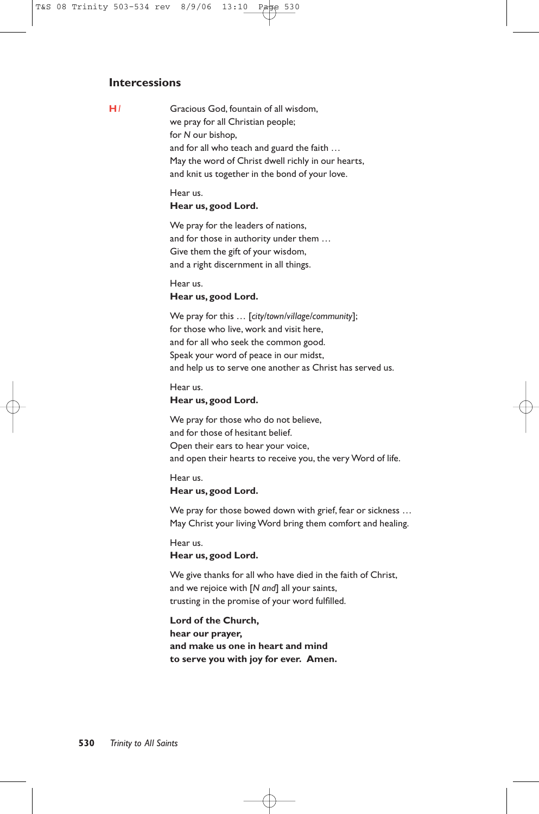#### **Intercessions**

**H***1* Gracious God, fountain of all wisdom, we pray for all Christian people; for *N* our bishop, and for all who teach and guard the faith … May the word of Christ dwell richly in our hearts, and knit us together in the bond of your love.

> Hear us. **Hear us, good Lord.**

We pray for the leaders of nations, and for those in authority under them … Give them the gift of your wisdom, and a right discernment in all things.

Hear us.

#### **Hear us, good Lord.**

We pray for this … [*city/town/village/community*]; for those who live, work and visit here, and for all who seek the common good. Speak your word of peace in our midst, and help us to serve one another as Christ has served us.

Hear us.

#### **Hear us, good Lord.**

We pray for those who do not believe, and for those of hesitant belief. Open their ears to hear your voice, and open their hearts to receive you, the very Word of life.

Hear us.

**Hear us, good Lord.**

We pray for those bowed down with grief, fear or sickness ... May Christ your living Word bring them comfort and healing.

Hear us.

#### **Hear us, good Lord.**

We give thanks for all who have died in the faith of Christ, and we rejoice with [*N and*] all your saints, trusting in the promise of your word fulfilled.

**Lord of the Church, hear our prayer, and make us one in heart and mind to serve you with joy for ever. Amen.**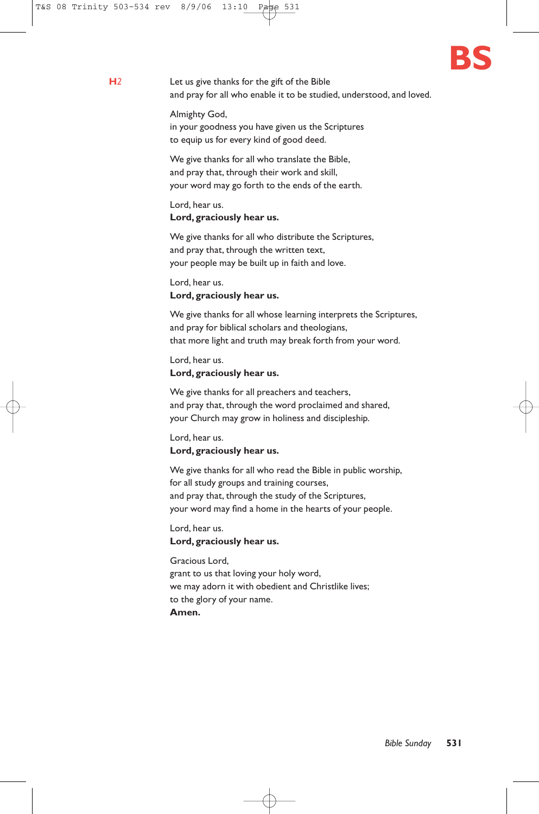

**H***2* Let us give thanks for the gift of the Bible and pray for all who enable it to be studied, understood, and loved.

#### Almighty God,

in your goodness you have given us the Scriptures to equip us for every kind of good deed.

We give thanks for all who translate the Bible, and pray that, through their work and skill, your word may go forth to the ends of the earth.

#### Lord, hear us. **Lord, graciously hear us.**

We give thanks for all who distribute the Scriptures, and pray that, through the written text, your people may be built up in faith and love.

Lord, hear us.

#### **Lord, graciously hear us.**

We give thanks for all whose learning interprets the Scriptures, and pray for biblical scholars and theologians, that more light and truth may break forth from your word.

#### Lord, hear us. **Lord, graciously hear us.**

We give thanks for all preachers and teachers, and pray that, through the word proclaimed and shared, your Church may grow in holiness and discipleship.

#### Lord, hear us. **Lord, graciously hear us.**

We give thanks for all who read the Bible in public worship, for all study groups and training courses, and pray that, through the study of the Scriptures, your word may find a home in the hearts of your people.

#### Lord, hear us. **Lord, graciously hear us.**

Gracious Lord, grant to us that loving your holy word, we may adorn it with obedient and Christlike lives; to the glory of your name. **Amen.**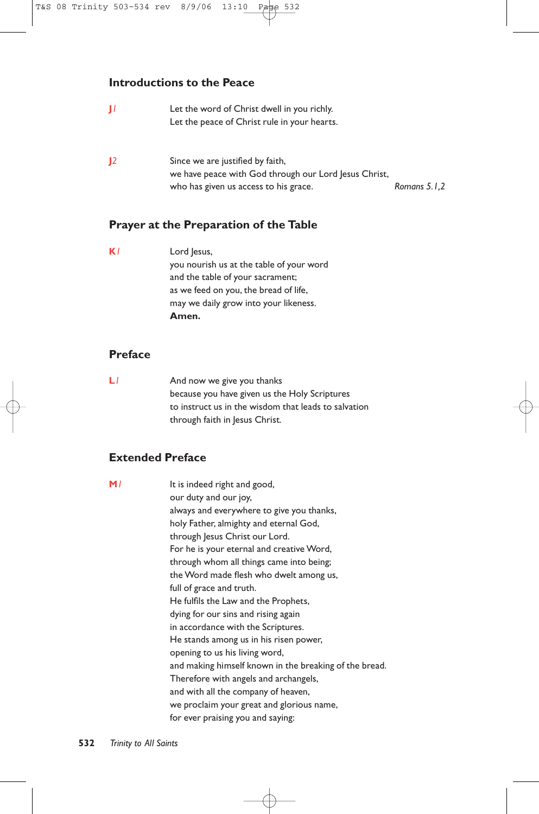#### **Introductions to the Peace**

| IJ             | Let the word of Christ dwell in you richly.<br>Let the peace of Christ rule in your hearts.                                        |              |
|----------------|------------------------------------------------------------------------------------------------------------------------------------|--------------|
| $\mathbf{I}^2$ | Since we are justified by faith,<br>we have peace with God through our Lord Jesus Christ,<br>who has given us access to his grace. | Romans 5.1,2 |

#### **Prayer at the Preparation of the Table**

**K***1* Lord Jesus, you nourish us at the table of your word and the table of your sacrament; as we feed on you, the bread of life, may we daily grow into your likeness. **Amen.**

#### **Preface**

**L***I* And now we give you thanks because you have given us the Holy Scriptures to instruct us in the wisdom that leads to salvation through faith in Jesus Christ.

#### **Extended Preface**

| M/ | It is indeed right and good,                           |
|----|--------------------------------------------------------|
|    | our duty and our joy,                                  |
|    | always and everywhere to give you thanks,              |
|    | holy Father, almighty and eternal God,                 |
|    | through Jesus Christ our Lord.                         |
|    | For he is your eternal and creative Word,              |
|    | through whom all things came into being;               |
|    | the Word made flesh who dwelt among us,                |
|    | full of grace and truth.                               |
|    | He fulfils the Law and the Prophets,                   |
|    | dying for our sins and rising again                    |
|    | in accordance with the Scriptures.                     |
|    | He stands among us in his risen power,                 |
|    | opening to us his living word,                         |
|    | and making himself known in the breaking of the bread. |
|    | Therefore with angels and archangels,                  |
|    | and with all the company of heaven,                    |
|    | we proclaim your great and glorious name,              |
|    | for ever praising you and saying:                      |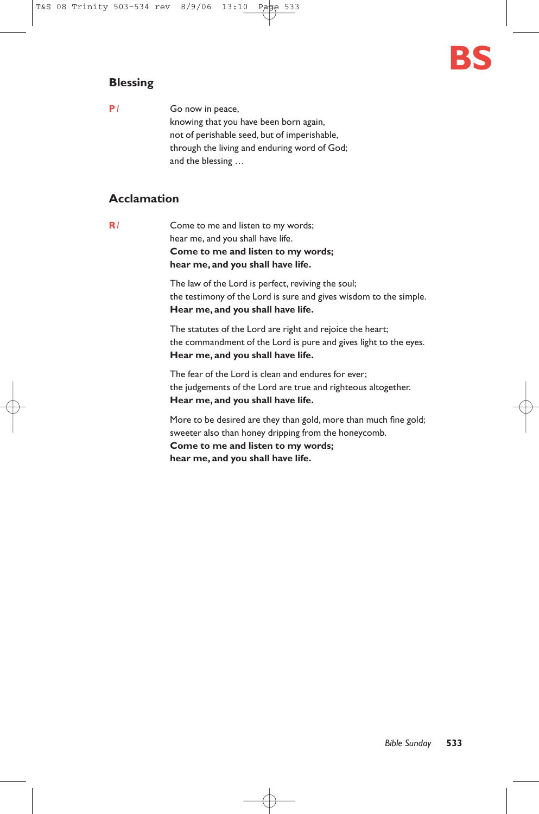## **BS**

#### **Blessing**

**P***1* Go now in peace, knowing that you have been born again, not of perishable seed, but of imperishable, through the living and enduring word of God; and the blessing …

#### **Acclamation**

**R***1* Come to me and listen to my words; hear me, and you shall have life. **Come to me and listen to my words; hear me, and you shall have life.**

> The law of the Lord is perfect, reviving the soul; the testimony of the Lord is sure and gives wisdom to the simple. **Hear me, and you shall have life.**

> The statutes of the Lord are right and rejoice the heart; the commandment of the Lord is pure and gives light to the eyes. **Hear me, and you shall have life.**

The fear of the Lord is clean and endures for ever; the judgements of the Lord are true and righteous altogether. **Hear me, and you shall have life.**

More to be desired are they than gold, more than much fine gold; sweeter also than honey dripping from the honeycomb. **Come to me and listen to my words; hear me, and you shall have life.**